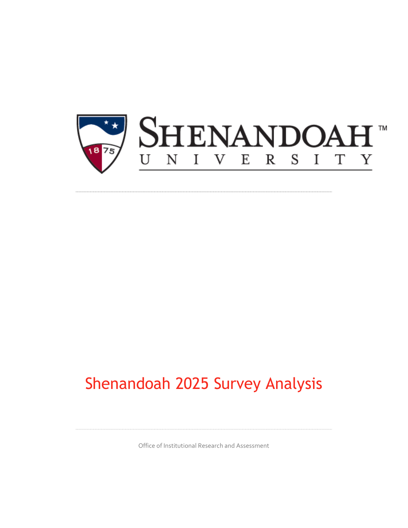

## Shenandoah 2025 Survey Analysis

Office of Institutional Research and Assessment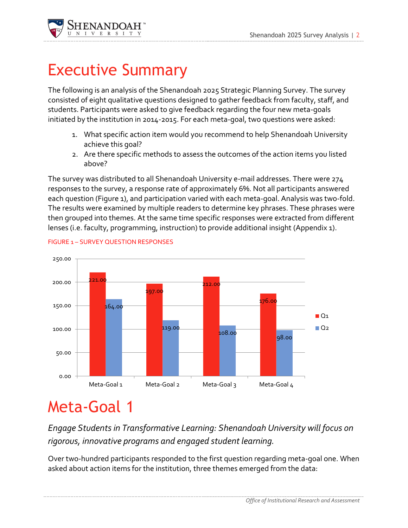

### Executive Summary

The following is an analysis of the Shenandoah 2025 Strategic Planning Survey. The survey consisted of eight qualitative questions designed to gather feedback from faculty, staff, and students. Participants were asked to give feedback regarding the four new meta-goals initiated by the institution in 2014-2015. For each meta-goal, two questions were asked:

- 1. What specific action item would you recommend to help Shenandoah University achieve this goal?
- 2. Are there specific methods to assess the outcomes of the action items you listed above?

The survey was distributed to all Shenandoah University e-mail addresses. There were 274 responses to the survey, a response rate of approximately 6%. Not all participants answered each question (Figure 1), and participation varied with each meta-goal. Analysis was two-fold. The results were examined by multiple readers to determine key phrases. These phrases were then grouped into themes. At the same time specific responses were extracted from different lenses (i.e. faculty, programming, instruction) to provide additional insight (Appendix 1).



#### FIGURE 1 – SURVEY QUESTION RESPONSES

## Meta-Goal 1

*Engage Students in Transformative Learning: [Shenandoah University will focus on](https://www.surveymonkey.com/MySurvey_EditPage.aspx?sm=YLciG6AxZyLdQdJE0KciqxI1xqP6my6PGWT8YI4WMVTqBifBlL%2blqZVJk7mjZvQs&TB_iframe=true&height=450&width=650)  [rigorous, innovative programs and engaged student learning.](https://www.surveymonkey.com/MySurvey_EditPage.aspx?sm=YLciG6AxZyLdQdJE0KciqxI1xqP6my6PGWT8YI4WMVTqBifBlL%2blqZVJk7mjZvQs&TB_iframe=true&height=450&width=650)*

Over two-hundred participants responded to the first question regarding meta-goal one. When asked about action items for the institution, three themes emerged from the data: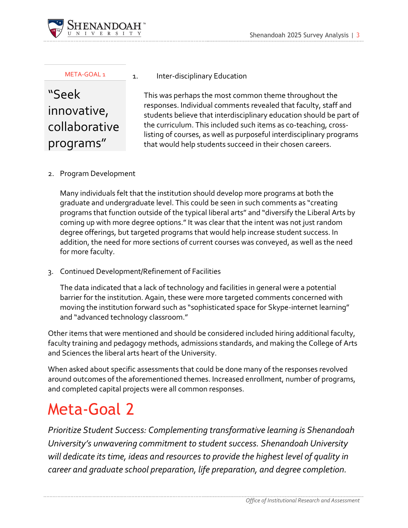

#### META-GOAL 1

"Seek innovative, collaborative programs"

#### 1. Inter-disciplinary Education

This was perhaps the most common theme throughout the responses. Individual comments revealed that faculty, staff and students believe that interdisciplinary education should be part of the curriculum. This included such items as co-teaching, crosslisting of courses, as well as purposeful interdisciplinary programs that would help students succeed in their chosen careers.

### 2. Program Development

Many individuals felt that the institution should develop more programs at both the graduate and undergraduate level. This could be seen in such comments as "creating programs that function outside of the typical liberal arts" and "diversify the Liberal Arts by coming up with more degree options." It was clear that the intent was not just random degree offerings, but targeted programs that would help increase student success. In addition, the need for more sections of current courses was conveyed, as well as the need for more faculty.

3. Continued Development/Refinement of Facilities

The data indicated that a lack of technology and facilities in general were a potential barrier for the institution. Again, these were more targeted comments concerned with moving the institution forward such as "sophisticated space for Skype-internet learning" and "advanced technology classroom."

Other items that were mentioned and should be considered included hiring additional faculty, faculty training and pedagogy methods, admissions standards, and making the College of Arts and Sciences the liberal arts heart of the University.

When asked about specific assessments that could be done many of the responses revolved around outcomes of the aforementioned themes. Increased enrollment, number of programs, and completed capital projects were all common responses.

### Meta-Goal 2

*[Prioritize Student Success: Complementing transformative learning is Shenandoah](https://www.surveymonkey.com/MySurvey_EditPage.aspx?sm=YLciG6AxZyLdQdJE0KciqxI1xqP6my6PGWT8YI4WMVTqBifBlL%2blqZVJk7mjZvQs&TB_iframe=true&height=450&width=650)  Univ[ersity's unwavering commitment to student success. Shenandoah University](https://www.surveymonkey.com/MySurvey_EditPage.aspx?sm=YLciG6AxZyLdQdJE0KciqxI1xqP6my6PGWT8YI4WMVTqBifBlL%2blqZVJk7mjZvQs&TB_iframe=true&height=450&width=650)  [will dedicate its time, ideas and resources to provide the highest level of quality in](https://www.surveymonkey.com/MySurvey_EditPage.aspx?sm=YLciG6AxZyLdQdJE0KciqxI1xqP6my6PGWT8YI4WMVTqBifBlL%2blqZVJk7mjZvQs&TB_iframe=true&height=450&width=650)  [career and graduate school preparation, life preparation, and degree completion.](https://www.surveymonkey.com/MySurvey_EditPage.aspx?sm=YLciG6AxZyLdQdJE0KciqxI1xqP6my6PGWT8YI4WMVTqBifBlL%2blqZVJk7mjZvQs&TB_iframe=true&height=450&width=650)*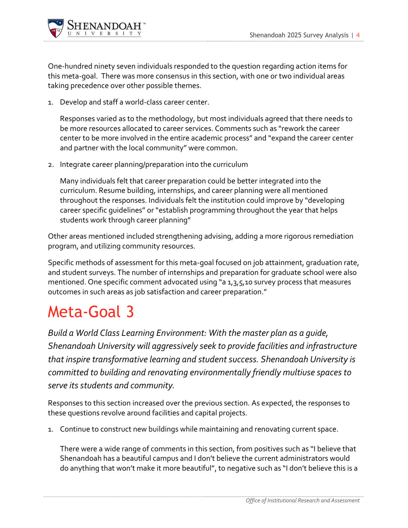

One-hundred ninety seven individuals responded to the question regarding action items for this meta-goal. There was more consensus in this section, with one or two individual areas taking precedence over other possible themes.

1. Develop and staff a world-class career center.

Responses varied as to the methodology, but most individuals agreed that there needs to be more resources allocated to career services. Comments such as "rework the career center to be more involved in the entire academic process" and "expand the career center and partner with the local community" were common.

2. Integrate career planning/preparation into the curriculum

Many individuals felt that career preparation could be better integrated into the curriculum. Resume building, internships, and career planning were all mentioned throughout the responses. Individuals felt the institution could improve by "developing career specific guidelines" or "establish programming throughout the year that helps students work through career planning"

Other areas mentioned included strengthening advising, adding a more rigorous remediation program, and utilizing community resources.

Specific methods of assessment for this meta-goal focused on job attainment, graduation rate, and student surveys. The number of internships and preparation for graduate school were also mentioned. One specific comment advocated using "a 1,3,5,10 survey process that measures outcomes in such areas as job satisfaction and career preparation."

### Meta-Goal 3

*[Build a World Class Learning Environment: With the master plan as a guide,](https://www.surveymonkey.com/MySurvey_EditPage.aspx?sm=YLciG6AxZyLdQdJE0KciqxI1xqP6my6PGWT8YI4WMVTqBifBlL%2blqZVJk7mjZvQs&TB_iframe=true&height=450&width=650)  [Shenandoah University will aggressively seek to provide facilities and infrastructure](https://www.surveymonkey.com/MySurvey_EditPage.aspx?sm=YLciG6AxZyLdQdJE0KciqxI1xqP6my6PGWT8YI4WMVTqBifBlL%2blqZVJk7mjZvQs&TB_iframe=true&height=450&width=650)  [that inspire transformative learning and student success. Shenandoah University is](https://www.surveymonkey.com/MySurvey_EditPage.aspx?sm=YLciG6AxZyLdQdJE0KciqxI1xqP6my6PGWT8YI4WMVTqBifBlL%2blqZVJk7mjZvQs&TB_iframe=true&height=450&width=650)  [committed to building and renovating environmentally friendly multiuse spaces to](https://www.surveymonkey.com/MySurvey_EditPage.aspx?sm=YLciG6AxZyLdQdJE0KciqxI1xqP6my6PGWT8YI4WMVTqBifBlL%2blqZVJk7mjZvQs&TB_iframe=true&height=450&width=650)  [serve its students and community.](https://www.surveymonkey.com/MySurvey_EditPage.aspx?sm=YLciG6AxZyLdQdJE0KciqxI1xqP6my6PGWT8YI4WMVTqBifBlL%2blqZVJk7mjZvQs&TB_iframe=true&height=450&width=650)*

Responses to this section increased over the previous section. As expected, the responses to these questions revolve around facilities and capital projects.

1. Continue to construct new buildings while maintaining and renovating current space.

There were a wide range of comments in this section, from positives such as "I believe that Shenandoah has a beautiful campus and I don't believe the current administrators would do anything that won't make it more beautiful", to negative such as "I don't believe this is a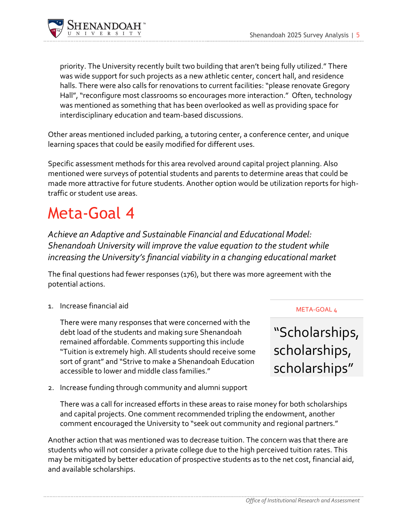

priority. The University recently built two building that aren't being fully utilized." There was wide support for such projects as a new athletic center, concert hall, and residence halls. There were also calls for renovations to current facilities: "please renovate Gregory Hall", "reconfigure most classrooms so encourages more interaction." Often, technology was mentioned as something that has been overlooked as well as providing space for interdisciplinary education and team-based discussions.

Other areas mentioned included parking, a tutoring center, a conference center, and unique learning spaces that could be easily modified for different uses.

Specific assessment methods for this area revolved around capital project planning. Also mentioned were surveys of potential students and parents to determine areas that could be made more attractive for future students. Another option would be utilization reports for hightraffic or student use areas.

### Meta-Goal 4

*[Achieve an Adaptive and Sustainable Financial and Educational Model:](https://www.surveymonkey.com/MySurvey_EditPage.aspx?sm=YLciG6AxZyLdQdJE0KciqxI1xqP6my6PGWT8YI4WMVTqBifBlL%2blqZVJk7mjZvQs&TB_iframe=true&height=450&width=650)  [Shenandoah University will improve the value equation to the student while](https://www.surveymonkey.com/MySurvey_EditPage.aspx?sm=YLciG6AxZyLdQdJE0KciqxI1xqP6my6PGWT8YI4WMVTqBifBlL%2blqZVJk7mjZvQs&TB_iframe=true&height=450&width=650)  i[ncreasing the University's financial viability in a changing educational market](https://www.surveymonkey.com/MySurvey_EditPage.aspx?sm=YLciG6AxZyLdQdJE0KciqxI1xqP6my6PGWT8YI4WMVTqBifBlL%2blqZVJk7mjZvQs&TB_iframe=true&height=450&width=650)*

The final questions had fewer responses (176), but there was more agreement with the potential actions.

1. Increase financial aid

There were many responses that were concerned with the debt load of the students and making sure Shenandoah remained affordable. Comments supporting this include "Tuition is extremely high. All students should receive some sort of grant" and "Strive to make a Shenandoah Education accessible to lower and middle class families."

2. Increase funding through community and alumni support

There was a call for increased efforts in these areas to raise money for both scholarships and capital projects. One comment recommended tripling the endowment, another comment encouraged the University to "seek out community and regional partners."

Another action that was mentioned was to decrease tuition. The concern was that there are students who will not consider a private college due to the high perceived tuition rates. This may be mitigated by better education of prospective students as to the net cost, financial aid, and available scholarships.

META-GOAL 4

"Scholarships, scholarships, scholarships"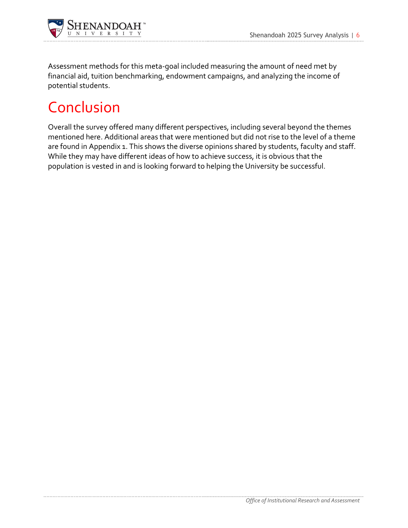

Assessment methods for this meta-goal included measuring the amount of need met by financial aid, tuition benchmarking, endowment campaigns, and analyzing the income of potential students.

### Conclusion

Overall the survey offered many different perspectives, including several beyond the themes mentioned here. Additional areas that were mentioned but did not rise to the level of a theme are found in Appendix 1. This shows the diverse opinions shared by students, faculty and staff. While they may have different ideas of how to achieve success, it is obvious that the population is vested in and is looking forward to helping the University be successful.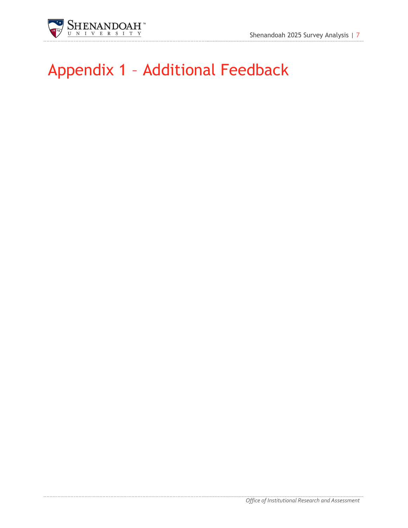

# Appendix 1 – Additional Feedback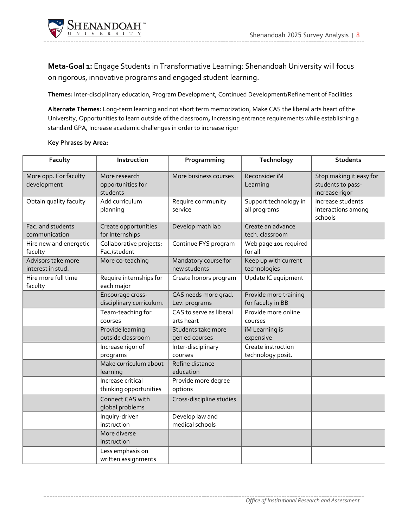

**Meta-Goal 1:** [Engage Students in Transformative Learning:](https://www.surveymonkey.com/MySurvey_EditPage.aspx?sm=YLciG6AxZyLdQdJE0KciqxI1xqP6my6PGWT8YI4WMVTqBifBlL%2blqZVJk7mjZvQs&TB_iframe=true&height=450&width=650) Shenandoah University will focus [on rigorous, innovative programs and engaged student learning.](https://www.surveymonkey.com/MySurvey_EditPage.aspx?sm=YLciG6AxZyLdQdJE0KciqxI1xqP6my6PGWT8YI4WMVTqBifBlL%2blqZVJk7mjZvQs&TB_iframe=true&height=450&width=650)

**Themes:** Inter-disciplinary education, Program Development, Continued Development/Refinement of Facilities

**Alternate Themes:** Long-term learning and not short term memorization, Make CAS the liberal arts heart of the University, Opportunities to learn outside of the classroom**,** Increasing entrance requirements while establishing a standard GPA, Increase academic challenges in order to increase rigor

| Faculty                                 | Instruction                                    | Programming                           | Technology                                 | <b>Students</b>                                                |
|-----------------------------------------|------------------------------------------------|---------------------------------------|--------------------------------------------|----------------------------------------------------------------|
| More opp. For faculty<br>development    | More research<br>opportunities for<br>students | More business courses                 | Reconsider iM<br>Learning                  | Stop making it easy for<br>students to pass-<br>increase rigor |
| Obtain quality faculty                  | Add curriculum<br>planning                     | Require community<br>service          | Support technology in<br>all programs      | Increase students<br>interactions among<br>schools             |
| Fac. and students<br>communication      | Create opportunities<br>for Internships        | Develop math lab                      | Create an advance<br>tech. classroom       |                                                                |
| Hire new and energetic<br>faculty       | Collaborative projects:<br>Fac./student        | Continue FYS program                  | Web page 101 required<br>for all           |                                                                |
| Advisors take more<br>interest in stud. | More co-teaching                               | Mandatory course for<br>new students  | Keep up with current<br>technologies       |                                                                |
| Hire more full time<br>faculty          | Require internships for<br>each major          | Create honors program                 | Update IC equipment                        |                                                                |
|                                         | Encourage cross-<br>disciplinary curriculum.   | CAS needs more grad.<br>Lev. programs | Provide more training<br>for faculty in BB |                                                                |
|                                         | Team-teaching for<br>courses                   | CAS to serve as liberal<br>arts heart | Provide more online<br>courses             |                                                                |
|                                         | Provide learning<br>outside classroom          | Students take more<br>gen ed courses  | iM Learning is<br>expensive                |                                                                |
|                                         | Increase rigor of<br>programs                  | Inter-disciplinary<br>courses         | Create instruction<br>technology posit.    |                                                                |
|                                         | Make curriculum about<br>learning              | Refine distance<br>education          |                                            |                                                                |
|                                         | Increase critical<br>thinking opportunities    | Provide more degree<br>options        |                                            |                                                                |
|                                         | Connect CAS with<br>global problems            | Cross-discipline studies              |                                            |                                                                |
|                                         | Inquiry-driven<br>instruction                  | Develop law and<br>medical schools    |                                            |                                                                |
|                                         | More diverse<br>instruction                    |                                       |                                            |                                                                |
|                                         | Less emphasis on<br>written assignments        |                                       |                                            |                                                                |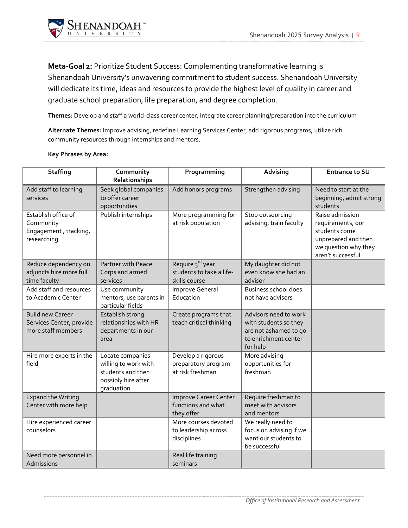

**Meta-Goal 2:** Prioritize Student Success: [Complementing transformative learning is](https://www.surveymonkey.com/MySurvey_EditPage.aspx?sm=YLciG6AxZyLdQdJE0KciqxI1xqP6my6PGWT8YI4WMVTqBifBlL%2blqZVJk7mjZvQs&TB_iframe=true&height=450&width=650)  [Shenandoah University's unwavering commitment to student success. Shenandoah University](https://www.surveymonkey.com/MySurvey_EditPage.aspx?sm=YLciG6AxZyLdQdJE0KciqxI1xqP6my6PGWT8YI4WMVTqBifBlL%2blqZVJk7mjZvQs&TB_iframe=true&height=450&width=650)  [will dedicate its time, ideas and resources to provide the highest level of quality in career and](https://www.surveymonkey.com/MySurvey_EditPage.aspx?sm=YLciG6AxZyLdQdJE0KciqxI1xqP6my6PGWT8YI4WMVTqBifBlL%2blqZVJk7mjZvQs&TB_iframe=true&height=450&width=650)  [graduate school preparation, life preparation, and degree completion.](https://www.surveymonkey.com/MySurvey_EditPage.aspx?sm=YLciG6AxZyLdQdJE0KciqxI1xqP6my6PGWT8YI4WMVTqBifBlL%2blqZVJk7mjZvQs&TB_iframe=true&height=450&width=650)

**Themes:** Develop and staff a world-class career center, Integrate career planning/preparation into the curriculum

**Alternate Themes:** Improve advising, redefine Learning Services Center, add rigorous programs, utilize rich community resources through internships and mentors.

| <b>Staffing</b>                         | Community                                    | Programming                                              | Advising                                    | <b>Entrance to SU</b>                     |
|-----------------------------------------|----------------------------------------------|----------------------------------------------------------|---------------------------------------------|-------------------------------------------|
|                                         | Relationships                                |                                                          |                                             |                                           |
| Add staff to learning                   | Seek global companies                        | Add honors programs                                      | Strengthen advising                         | Need to start at the                      |
| services                                | to offer career                              |                                                          |                                             | beginning, admit strong                   |
|                                         | opportunities                                |                                                          |                                             | students                                  |
| Establish office of                     | Publish internships                          | More programming for                                     | Stop outsourcing                            | Raise admission                           |
| Community                               |                                              | at risk population                                       | advising, train faculty                     | requirements, our                         |
| Engagement, tracking,                   |                                              |                                                          |                                             | students come                             |
| researching                             |                                              |                                                          |                                             | unprepared and then                       |
|                                         |                                              |                                                          |                                             | we question why they<br>aren't successful |
|                                         |                                              |                                                          |                                             |                                           |
| Reduce dependency on                    | Partner with Peace                           | Require 3 <sup>rd</sup> year<br>students to take a life- | My daughter did not<br>even know she had an |                                           |
| adjuncts hire more full                 | Corps and armed                              | skills course                                            | advisor                                     |                                           |
| time faculty<br>Add staff and resources | services                                     |                                                          |                                             |                                           |
|                                         | Use community                                | Improve General<br>Education                             | Business school does                        |                                           |
| to Academic Center                      | mentors, use parents in<br>particular fields |                                                          | not have advisors                           |                                           |
| <b>Build new Career</b>                 | Establish strong                             | Create programs that                                     | Advisors need to work                       |                                           |
| Services Center, provide                | relationships with HR                        | teach critical thinking                                  | with students so they                       |                                           |
| more staff members                      | departments in our                           |                                                          | are not ashamed to go                       |                                           |
|                                         | area                                         |                                                          | to enrichment center                        |                                           |
|                                         |                                              |                                                          | for help                                    |                                           |
| Hire more experts in the                | Locate companies                             | Develop a rigorous                                       | More advising                               |                                           |
| field                                   | willing to work with                         | preparatory program -                                    | opportunities for                           |                                           |
|                                         | students and then                            | at risk freshman                                         | freshman                                    |                                           |
|                                         | possibly hire after                          |                                                          |                                             |                                           |
|                                         | graduation                                   |                                                          |                                             |                                           |
| <b>Expand the Writing</b>               |                                              | <b>Improve Career Center</b>                             | Require freshman to                         |                                           |
| Center with more help                   |                                              | functions and what                                       | meet with advisors                          |                                           |
|                                         |                                              | they offer                                               | and mentors                                 |                                           |
| Hire experienced career                 |                                              | More courses devoted                                     | We really need to                           |                                           |
| counselors                              |                                              | to leadership across                                     | focus on advising if we                     |                                           |
|                                         |                                              | disciplines                                              | want our students to                        |                                           |
|                                         |                                              |                                                          | be successful                               |                                           |
| Need more personnel in                  |                                              | Real life training                                       |                                             |                                           |
| Admissions                              |                                              | seminars                                                 |                                             |                                           |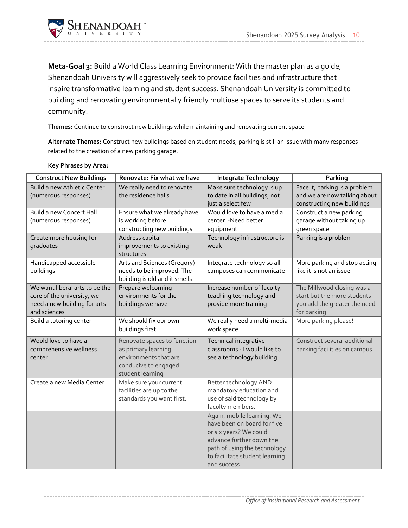

**Meta-Goal 3:** [Build a World Class Learning Environment: With](https://www.surveymonkey.com/MySurvey_EditPage.aspx?sm=YLciG6AxZyLdQdJE0KciqxI1xqP6my6PGWT8YI4WMVTqBifBlL%2blqZVJk7mjZvQs&TB_iframe=true&height=450&width=650) the master plan as a guide, [Shenandoah University will aggressively seek to provide facilities and infrastructure that](https://www.surveymonkey.com/MySurvey_EditPage.aspx?sm=YLciG6AxZyLdQdJE0KciqxI1xqP6my6PGWT8YI4WMVTqBifBlL%2blqZVJk7mjZvQs&TB_iframe=true&height=450&width=650)  [inspire transformative learning and student success. Shenandoah University is committed to](https://www.surveymonkey.com/MySurvey_EditPage.aspx?sm=YLciG6AxZyLdQdJE0KciqxI1xqP6my6PGWT8YI4WMVTqBifBlL%2blqZVJk7mjZvQs&TB_iframe=true&height=450&width=650)  [building and renovating environmentally friendly multiuse spaces to serve its students and](https://www.surveymonkey.com/MySurvey_EditPage.aspx?sm=YLciG6AxZyLdQdJE0KciqxI1xqP6my6PGWT8YI4WMVTqBifBlL%2blqZVJk7mjZvQs&TB_iframe=true&height=450&width=650)  [community.](https://www.surveymonkey.com/MySurvey_EditPage.aspx?sm=YLciG6AxZyLdQdJE0KciqxI1xqP6my6PGWT8YI4WMVTqBifBlL%2blqZVJk7mjZvQs&TB_iframe=true&height=450&width=650)

**Themes:** Continue to construct new buildings while maintaining and renovating current space

**Alternate Themes:** Construct new buildings based on student needs, parking is still an issue with many responses related to the creation of a new parking garage.

| <b>Construct New Buildings</b>                                                                               | Renovate: Fix what we have                                                                                              | <b>Integrate Technology</b>                                                                                                                                                                       | Parking                                                                                                  |
|--------------------------------------------------------------------------------------------------------------|-------------------------------------------------------------------------------------------------------------------------|---------------------------------------------------------------------------------------------------------------------------------------------------------------------------------------------------|----------------------------------------------------------------------------------------------------------|
| Build a new Athletic Center<br>(numerous responses)                                                          | We really need to renovate<br>the residence halls                                                                       | Make sure technology is up<br>to date in all buildings, not<br>just a select few                                                                                                                  | Face it, parking is a problem<br>and we are now talking about<br>constructing new buildings              |
| <b>Build a new Concert Hall</b><br>(numerous responses)                                                      | Ensure what we already have<br>is working before<br>constructing new buildings                                          | Would love to have a media<br>center -Need better<br>equipment                                                                                                                                    | Construct a new parking<br>garage without taking up<br>green space                                       |
| Create more housing for<br>graduates                                                                         | Address capital<br>improvements to existing<br>structures                                                               | Technology infrastructure is<br>weak                                                                                                                                                              | Parking is a problem                                                                                     |
| Handicapped accessible<br>buildings                                                                          | Arts and Sciences (Gregory)<br>needs to be improved. The<br>building is old and it smells                               | Integrate technology so all<br>campuses can communicate                                                                                                                                           | More parking and stop acting<br>like it is not an issue                                                  |
| We want liberal arts to be the<br>core of the university, we<br>need a new building for arts<br>and sciences | Prepare welcoming<br>environments for the<br>buildings we have                                                          | Increase number of faculty<br>teaching technology and<br>provide more training                                                                                                                    | The Millwood closing was a<br>start but the more students<br>you add the greater the need<br>for parking |
| Build a tutoring center                                                                                      | We should fix our own<br>buildings first                                                                                | We really need a multi-media<br>work space                                                                                                                                                        | More parking please!                                                                                     |
| Would love to have a<br>comprehensive wellness<br>center                                                     | Renovate spaces to function<br>as primary learning<br>environments that are<br>conducive to engaged<br>student learning | Technical integrative<br>classrooms - I would like to<br>see a technology building                                                                                                                | Construct several additional<br>parking facilities on campus.                                            |
| Create a new Media Center                                                                                    | Make sure your current<br>facilities are up to the<br>standards you want first.                                         | Better technology AND<br>mandatory education and<br>use of said technology by<br>faculty members.                                                                                                 |                                                                                                          |
|                                                                                                              |                                                                                                                         | Again, mobile learning. We<br>have been on board for five<br>or six years? We could<br>advance further down the<br>path of using the technology<br>to facilitate student learning<br>and success. |                                                                                                          |